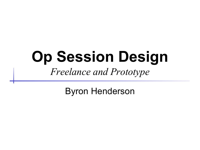# **Op Session Design** *Freelance and Prototype*

Byron Henderson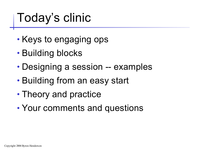# Today's clinic

- Keys to engaging ops
- Building blocks
- Designing a session -- examples
- Building from an easy start
- Theory and practice
- Your comments and questions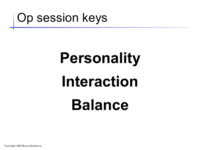

# **Personality Interaction Balance**

Copyright 2004 Byron Henderson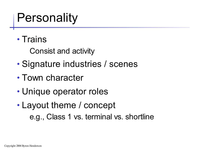### **Personality**

• Trains

Consist and activity

- Signature industries / scenes
- Town character
- Unique operator roles
- Layout theme / concept e.g., Class 1 vs. terminal vs. shortline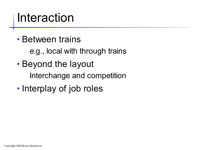#### Interaction

• Between trains

e.g., local with through trains

- Beyond the layout Interchange and competition
- Interplay of job roles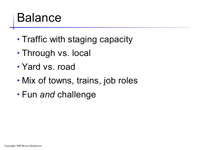#### Balance

- Traffic with staging capacity
- Through vs. local
- Yard vs. road
- Mix of towns, trains, job roles
- Fun *and* challenge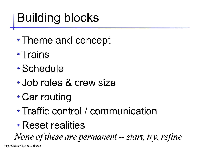# Building blocks

- Theme and concept
- Trains
- Schedule
- Job roles & crew size
- Car routing
- Traffic control / communication
- Reset realities

*None of these are permanent* -- *start, try, refine* 

Copyright 2004 Byron Henderson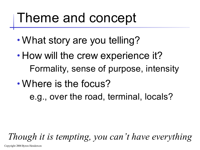# Theme and concept

- What story are you telling?
- How will the crew experience it? Formality, sense of purpose, intensity
- Where is the focus?
	- e.g., over the road, terminal, locals?

*Though it is tempting, you can 't have everything*

Copyright 2004 Byron Henderson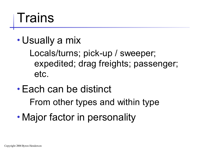# **Trains**

• Usually a mix

Locals/turns; pick-up / sweeper; expedited; drag freights; passenger; etc.

- Each can be distinct From other types and within type
- Major factor in personality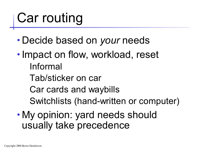# Car routing

- Decide based on *your* needs
- Impact on flow, workload, reset Informal
	- Tab/sticker on car
	- Car cards and waybills
	- Switchlists (hand-written or computer)
- My opinion: yard needs should usually take precedence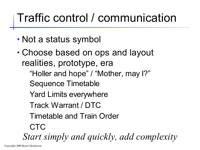#### Traffic control / communication

- Not a status symbol
- Choose based on ops and layout realities, prototype, era
	- "Holler and hope" / "Mother, may I?"
	- Sequence Timetable
	- Yard Limits everywhere
	- Track Warrant / DTC
	- Timetable and Train Order
	- CTC

*Start simply and quickly, add complexity*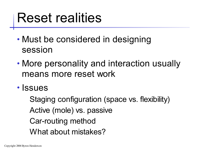# Reset realities

- Must be considered in designing session
- More personality and interaction usually means more reset work
- Issues

Staging configuration (space vs. flexibility) Active (mole) vs. passive Car-routing method What about mistakes?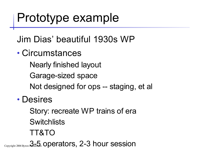#### Prototype example

Jim Dias' beautiful 1930s WP

- Circumstances
	- Nearly finished layout
	- Garage-sized space
	- Not designed for ops -- staging, et al
- Desires
	- Story: recreate WP trains of era **Switchlists**
	- TT&TO

 $\mathcal{L}_{\text{Copyright 2004 Byron}}$   $\mathcal{L}_{\text{3-5}}$  operators, 2-3 hour session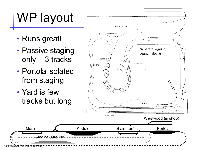# WP layout

- Runs great!
- Passive staging only -- 3 tracks
- Portola isolated from staging
- Yard is few tracks but long

Staging (Oroville)

Copyright 2004 Byron Henderson

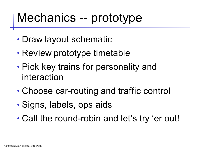#### Mechanics -- prototype

- Draw layout schematic
- Review prototype timetable
- Pick key trains for personality and interaction
- Choose car-routing and traffic control
- Signs, labels, ops aids
- Call the round-robin and let's try 'er out!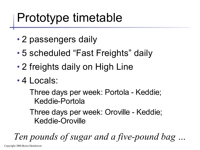### Prototype timetable

- 2 passengers daily
- 5 scheduled "Fast Freights" daily
- 2 freights daily on High Line
- 4 Locals:

Three days per week: Portola - Keddie; Keddie-Portola

Three days per week: Oroville - Keddie; Keddie-Oroville

*Ten pounds of sugar and a five-pound bag …*

Copyright 2004 Byron Henderson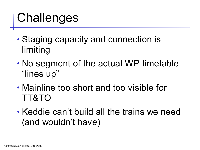### **Challenges**

- Staging capacity and connection is limiting
- No segment of the actual WP timetable "lines up"
- Mainline too short and too visible for TT&TO
- Keddie can't build all the trains we need (and wouldn't have)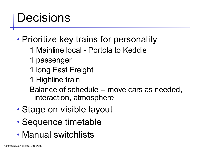#### Decisions

• Prioritize key trains for personality

- 1 Mainline local Portola to Keddie
- 1 passenger
- 1 long Fast Freight
- 1 Highline train

Balance of schedule -- move cars as needed, interaction, atmosphere

- Stage on visible layout
- Sequence timetable
- Manual switchlists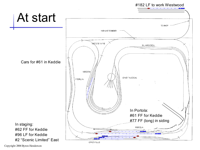#### #182 LF to work Westwood

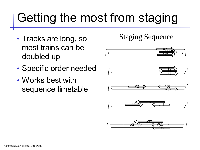# Getting the most from staging

- Tracks are long, so most trains can be doubled up
- Specific order needed
- Works best with sequence timetable

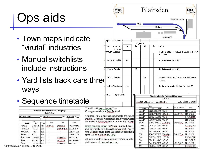# Ops aids

- Town maps indicate "virutal" industries
- Manual switchlists include instructions
- Yard lists track cars three ways

• Sequence timetable

|  |                             |             |            | Western Pacific Railroad Company<br>Switch List |                |                   |  |
|--|-----------------------------|-------------|------------|-------------------------------------------------|----------------|-------------------|--|
|  | No. 97 West                 |             |            | At: Portola                                     |                | date: June 6 1938 |  |
|  | Car                         |             |            | <b>From</b>                                     | To             | Track             |  |
|  | Initials<br>$1$ $P$ $F$ $E$ | No<br>36171 | Type<br>RS | Portola                                         | Portola        | Ice House         |  |
|  | $2$ MSCX                    | 2023        | lSМ        | п.                                              | Blairsden      | Stock Pen         |  |
|  | 3 COSX                      | 2.37        | ТA         | H.                                              | $\blacksquare$ | Union Oil         |  |
|  | 4OSKX                       | 458         | ТA         | H.                                              | $\mathbf{u}$   | Union Oil         |  |
|  | 5 AT&SF                     | 117940 XM   |            | H.                                              | Delleker,      | Mould #1          |  |
|  | $6$ PFE                     | 50468       | 'RS        | ш                                               | Portola        | Ice House         |  |
|  | $7$ UP                      | 184055 XM   |            | $\mathbf{u}$                                    | Delleker       | $Box$ #5          |  |

|                                                      |                   | West<br>to Keddie           |     |    | Main            | Blairsden        |              |                                              | Fruit Growers                              | East<br>to Portola                            |
|------------------------------------------------------|-------------------|-----------------------------|-----|----|-----------------|------------------|--------------|----------------------------------------------|--------------------------------------------|-----------------------------------------------|
|                                                      |                   |                             |     |    |                 |                  | Siding       |                                              |                                            |                                               |
|                                                      |                   |                             |     |    |                 |                  |              | UnionOil                                     |                                            |                                               |
| ie                                                   |                   | Sequence Timetable          |     |    |                 |                  |              |                                              |                                            |                                               |
|                                                      |                   |                             |     |    | Operator        |                  |              |                                              |                                            |                                               |
|                                                      | Train             | <b>Starting</b><br>Location | A   | B  | $\mathsf{C}$    | D                | <b>Notes</b> |                                              |                                            |                                               |
|                                                      | Yard Job Keddie   |                             |     |    |                 |                  |              | of the crew                                  |                                            | Start Yard Job 5-10 Minutes ahead of the rest |
|                                                      | #96 Fast Oroville |                             | 96  |    |                 |                  |              | Start at same time as $#61$                  |                                            |                                               |
| ζ                                                    | #61 West Portola  |                             |     | 61 |                 |                  |              | Start at same time as #96                    |                                            |                                               |
| s three                                              | #97 West Portola  |                             |     |    | 97              |                  |              | Portola                                      | Start #97 West Local as soon as #61 leaves |                                               |
|                                                      |                   | #182 East Westwood          | 182 |    |                 |                  |              |                                              | Start #182 when the first op fnishes #96   |                                               |
|                                                      | <b>FRLC</b>       | <b>Upper Deck</b>           |     |    |                 |                  |              | Western Pacific Railroad Company<br>Car List |                                            |                                               |
| e                                                    |                   |                             |     |    | Keddie Yard Job |                  | At: Keddie   |                                              |                                            | date: June 6 1938                             |
|                                                      |                   |                             |     |    |                 |                  |              |                                              |                                            |                                               |
| Tiain No. 97 west Second Class                       |                   |                             |     |    | Initials        | Car<br>No        | Type         | To                                           | Track or Notes                             | <b>From</b>                                   |
| Crew goes on duty in Portola Yard                    |                   |                             |     |    | ATSF            | 122635 XM 62 E   |              |                                              |                                            | No. 182 E.                                    |
|                                                      |                   |                             |     |    | ATSF            | 124874 XM Keddie |              |                                              | Back Trk                                   | No. 96 E.                                     |
| This local fieight originates and works the industi  |                   |                             |     |    | ATSF            | 128741 XM 98E    |              |                                              |                                            | KD Bck Trk                                    |
| Portola, Departing westbound, No. 97 then works      |                   |                             |     |    | ATSF            | 235478 XM 95 W   |              |                                              |                                            | No. 96 E.                                     |
| industries in Blairsden before terminating in Kedd   |                   |                             |     |    | B&O             | 110017SM Keddie  |              |                                              | Back Trk                                   | No. 96 E.                                     |
| Board assigned power in Portola, work all local in   |                   |                             |     |    | CB&Q            | 26323            |              | XM 95 W                                      |                                            | Keddie #3                                     |
| and yard tracks as indicated by switchlist. This ind |                   |                             |     |    | <b>CB&amp;Q</b> | 42293            |              | XM 98E                                       |                                            | No. 62 E                                      |
| two Delleker spurs. Note that there are specific m   |                   |                             |     | CN | 141387GB        |                  | 95 W         |                                              | No. 61 W                                   |                                               |
| spots for the Delleker set-outs                      |                   |                             |     |    | CP              | 236378 XM Keddie |              |                                              | <b>Back Trk</b>                            | No. 61 W                                      |
|                                                      |                   |                             |     |    | GN              | 50762            |              | XM 181 W                                     |                                            | KD Bck Trk                                    |
| All westbound trains are required to turn up retain  |                   |                             |     |    | GN              | 55171            | SM           | 95 W                                         |                                            | No. 182 E.                                    |
| pick-up cars. 15 seconds per car.                    |                   |                             |     |    | IC              | 341970 XM  61 W  |              |                                              | KD Trk 3                                   | No. 62 E                                      |
|                                                      |                   |                             |     |    | MP              | 89014            |              | XM 61W                                       |                                            | Keddie #3                                     |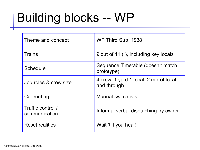# Building blocks -- WP

| Theme and concept                  | WP Third Sub, 1938                                     |
|------------------------------------|--------------------------------------------------------|
| <b>Trains</b>                      | 9 out of 11 (!), including key locals                  |
| Schedule                           | Sequence Timetable (doesn't match<br>prototype)        |
| Job roles & crew size              | 4 crew: 1 yard, 1 local, 2 mix of local<br>and through |
| Car routing                        | <b>Manual switchlists</b>                              |
| Traffic control /<br>communication | Informal verbal dispatching by owner                   |
| Reset realities                    | Wait 'till you hear!                                   |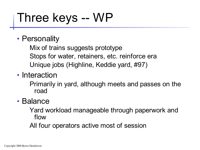### Three keys -- WP

#### • Personality

Mix of trains suggests prototype Stops for water, retainers, etc. reinforce era Unique jobs (Highline, Keddie yard, #97)

#### • Interaction

Primarily in yard, although meets and passes on the road

#### • Balance

Yard workload manageable through paperwork and flow

All four operators active most of session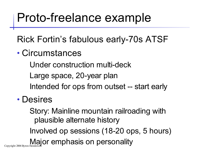#### Proto-freelance example

Rick Fortin's fabulous early-70s ATSF

• Circumstances

Under construction multi-deck

Large space, 20-year plan

Intended for ops from outset -- start early

#### • Desires

Story: Mainline mountain railroading with plausible alternate history

Involved op sessions (18-20 ops, 5 hours)

Copyright 2004 Byron Henderson **Orangellic Copyright 2004 Byron Henderson**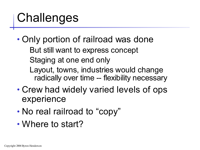### **Challenges**

- Only portion of railroad was done But still want to express concept Staging at one end only
	- Layout, towns, industries would change radically over time -- flexibility necessary
- Crew had widely varied levels of ops experience
- No real railroad to "copy"
- Where to start?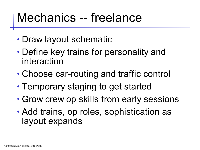#### Mechanics -- freelance

- Draw layout schematic
- Define key trains for personality and interaction
- Choose car-routing and traffic control
- Temporary staging to get started
- Grow crew op skills from early sessions
- Add trains, op roles, sophistication as layout expands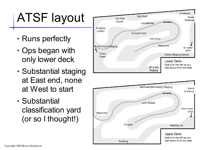# ATSF layout

- Runs perfectly
- Ops began with only lower deck
- Substantial staging at East end, none at West to start
- Substantial classification yard (or so I thought!)

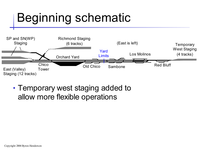### Beginning schematic



• Temporary west staging added to allow more flexible operations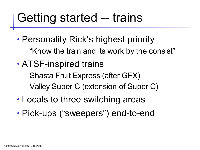### Getting started -- trains

- Personality Rick's highest priority "Know the train and its work by the consist"
- ATSF-inspired trains Shasta Fruit Express (after GFX) Valley Super C (extension of Super C)
- Locals to three switching areas
- Pick-ups ("sweepers") end-to-end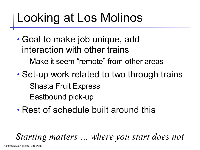# Looking at Los Molinos

- Goal to make job unique, add interaction with other trains Make it seem "remote" from other areas
- Set-up work related to two through trains Shasta Fruit Express Eastbound pick-up
- Rest of schedule built around this

*Starting matters … where you start does not*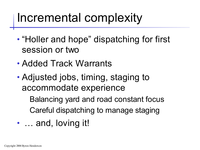#### Incremental complexity

- "Holler and hope" dispatching for first session or two
- Added Track Warrants
- Adjusted jobs, timing, staging to accommodate experience

Balancing yard and road constant focus Careful dispatching to manage staging

• ... and, loving it!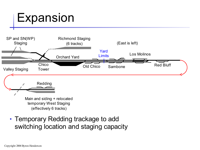#### Expansion



• Temporary Redding trackage to add switching location and staging capacity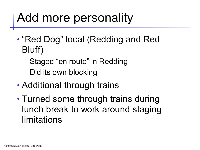### Add more personality

- "Red Dog" local (Redding and Red Bluff)
	- Staged "en route" in Redding Did its own blocking
- Additional through trains
- Turned some through trains during lunch break to work around staging limitations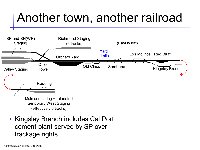# Another town, another railroad



• Kingsley Branch includes Cal Port cement plant served by SP over trackage rights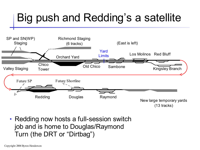#### Big push and Redding's a satellite



• Redding now hosts a full-session switch job and is home to Douglas/Raymond Turn (the DRT or "Dirtbag")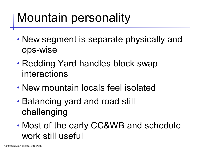### Mountain personality

- New segment is separate physically and ops-wise
- Redding Yard handles block swap interactions
- New mountain locals feel isolated
- Balancing yard and road still challenging
- Most of the early CC&WB and schedule work still useful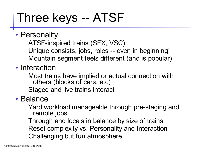# Three keys -- ATSF

- Personality ATSF-inspired trains (SFX, VSC) Unique consists, jobs, roles -- even in beginning! Mountain segment feels different (and is popular)
- Interaction
	- Most trains have implied or actual connection with others (blocks of cars, etc)

Staged and live trains interact

#### • Balance

Yard workload manageable through pre-staging and remote jobs

Through and locals in balance by size of trains Reset complexity vs. Personality and Interaction Challenging but fun atmosphere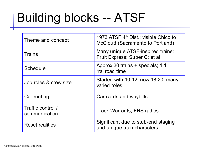# Building blocks -- ATSF

| Theme and concept                  | 1973 ATSF 4 <sup>th</sup> Dist.; visible Chico to<br>McCloud (Sacramento to Portland) |  |  |  |
|------------------------------------|---------------------------------------------------------------------------------------|--|--|--|
| <b>Trains</b>                      | Many unique ATSF-inspired trains:<br>Fruit Express; Super C; et al                    |  |  |  |
| Schedule                           | Approx 30 trains + specials; 1:1<br>"railroad time"                                   |  |  |  |
| Job roles & crew size              | Started with 10-12, now 18-20; many<br>varied roles                                   |  |  |  |
| Car routing                        | Car-cards and waybills                                                                |  |  |  |
| Traffic control /<br>communication | <b>Track Warrants; FRS radios</b>                                                     |  |  |  |
| <b>Reset realities</b>             | Significant due to stub-end staging<br>and unique train characters                    |  |  |  |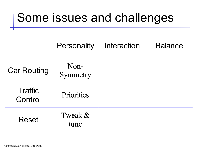#### Some issues and challenges

|                           | <b>Personality</b> | Interaction | <b>Balance</b> |
|---------------------------|--------------------|-------------|----------------|
| <b>Car Routing</b>        | Non-<br>Symmetry   |             |                |
| <b>Traffic</b><br>Control | Priorities         |             |                |
| <b>Reset</b>              | Tweak &<br>tune    |             |                |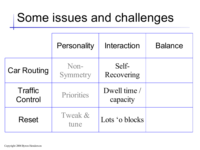#### Some issues and challenges

|                           | <b>Personality</b> | Interaction              | <b>Balance</b> |
|---------------------------|--------------------|--------------------------|----------------|
| <b>Car Routing</b>        | Non-<br>Symmetry   | Self-<br>Recovering      |                |
| <b>Traffic</b><br>Control | Priorities         | Dwell time /<br>capacity |                |
| <b>Reset</b>              | Tweak &<br>tune    | Lots 'o blocks           |                |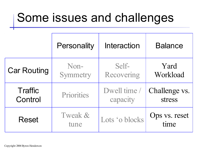#### Some issues and challenges

|                    | <b>Personality</b> | Interaction    | <b>Balance</b>        |
|--------------------|--------------------|----------------|-----------------------|
| <b>Car Routing</b> | Non-               | Self-          | Yard                  |
|                    | Symmetry           | Recovering     | Workload              |
| <b>Traffic</b>     | Priorities         | Dwell time /   | Challenge vs.         |
| Control            |                    | capacity       | stress                |
| <b>Reset</b>       | Tweak &<br>tune    | Lots 'o blocks | Ops vs. reset<br>time |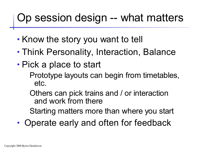#### Op session design -- what matters

- Know the story you want to tell
- Think Personality, Interaction, Balance
- Pick a place to start

Prototype layouts can begin from timetables, etc.

Others can pick trains and / or interaction and work from there

Starting matters more than where you start

• Operate early and often for feedback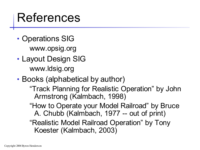#### References

- Operations SIG www.opsig.org
- Layout Design SIG www.ldsig.org
- Books (alphabetical by author)
	- "Track Planning for Realistic Operation" by John Armstrong (Kalmbach, 1998)
	- "How to Operate your Model Railroad" by Bruce A. Chubb (Kalmbach, 1977 -- out of print)

"Realistic Model Railroad Operation" by Tony Koester (Kalmbach, 2003)